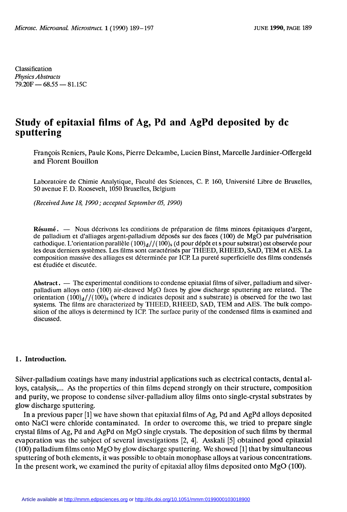Classification Physics Abstracts  $79.20F - 68.55 - 81.15C$ 

# Study of epitaxial films of Ag, Pd and AgPd deposited by dc sputtering

François Reniers, Paule Kons, Pierre Delcambe, Lucien Binst, Marcelle Jardinier-Offergeld and Florent Bouillon

Laboratoire de Chimie Analytique, Faculté des Sciences, C. P. 160, Université Libre de Bruxelles, 50 avenue F. D. Roosevelt, 1050 Bruxelles, Belgium

(Received June 18, 1990; accepted September 05, 1990)

Résumé. - Nous décrivons les conditions de préparation de films minces épitaxiques d'argent, de palladium et d'alliages argent-palladium déposés sur des faces (100) de MgO par pulvérisation cathodique. L'orientation parallèle  $(100)<sub>d</sub>$ //(100)<sub>s</sub> (d pour dépôt et s pour substrat) est observée pour les deux derniers systèmes. Les films sont caractérisés par THEED, RHEED, SAD, TEM et AES. La composition massive des alliages est déterrninée par ICP. La pureté superficielle des films condensés est étudiée et discutée.

Abstract.  $\overline{a}$  The experimental conditions to condense epitaxial films of silver, palladium and silverpalladium alloys onto (100) air-cleaved MgO faces by glow discharge sputtering are related. The orientation  $(100)<sub>d</sub>$ //(100)<sub>s</sub> (where d indicates deposit and s substrate) is observed for the two last systems. The films are characterized by THEED, RHEED, SAD, TEM and AES. The bulk composition of the alloys is determined by ICP. The surface purity of the condensed films is examined and discussed.

#### 1. Introduction.

Silver-palladium coatings have many industrial applications such as electrical contacts, dental alloys, catalysis,... As the properties of thin films depend strongly on their structure, composition and purity, we propose to condense silver-palladium alloy films onto single-crystal substrates by glow discharge sputtering.

In a previous paper [1] we have shown that epitaxial films of Ag, Pd and AgPd alloys deposited onto NaCI were chloride contaminated. In order to overcome this, we tried to prepare single crystal films of Ag, Pd and AgPd on MgO single crystals. The deposition of such films by thermal evaporation was the subject of several investigations [2, 4]. Asskali [5] obtained good epitaxial  $(100)$  palladium films onto MgO by glow discharge sputtering. We showed [1] that by simultaneous sputtering of both elements, it was possible to obtain monophase alloys at various concentrations. In the present work, we examined the purity of epitaxial alloy films deposited onto MgO (100).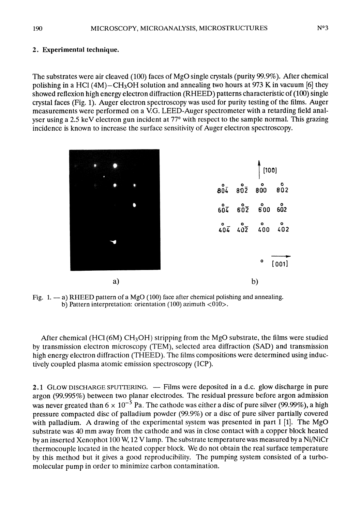## 2. Experimental technique.

The substrates were air cleaved (100) faces of MgO single crystals (purity 99.9%). After chemical polishing in a HCl  $(4M)$ -CH<sub>3</sub>OH solution and annealing two hours at 973 K in vacuum [6] they showed reflexion high energy electron diffraction (RHEED) patterns characteristic of (100) single crystal faces (Fig. 1). Auger electron spectroscopy was used for purity testing of the films. Auger measurements were performed on a V.G. LEED-Auger spectrometer with a retarding field analyser using a 2.5 keV electron gun incident at 77° with respect to the sample normal. This grazing incidence is known to increase the surface sensitivity of Auger electron spectroscopy.

|  |    |  |  |  | $\int$ [100]                                                         |       |
|--|----|--|--|--|----------------------------------------------------------------------|-------|
|  |    |  |  |  | $\begin{matrix} 0 \\ 80\bar{4} & 80\bar{2} & 800 & 802 \end{matrix}$ |       |
|  |    |  |  |  | $607$ $602$ $600$ $602$                                              |       |
|  |    |  |  |  | $404$ $402$ $400$ $402$                                              |       |
|  |    |  |  |  |                                                                      |       |
|  |    |  |  |  | $\circ$                                                              | [001] |
|  | a) |  |  |  | b)                                                                   |       |

Fig. 1.  $-$  a) RHEED pattern of a MgO (100) face after chemical polishing and annealing. b) Pattern interpretation: orientation (100) azimuth  $\langle 010 \rangle$ .

After chemical (HCl  $(6M)$  CH<sub>3</sub>OH) stripping from the MgO substrate, the films were studied by transmission electron microscopy (TEM), selected area diffraction (SAD) and transmission high energy electron diffraction (THEED). The films compositions were determined using inductively coupled plasma atomic emission spectroscopy (ICP).

2.1 GLOW DISCHARGE SPUTTERING. — Films were deposited in a d.c. glow discharge in pure argon (99.995%) between two planar electrodes. The residual pressure before argon admission was never greated than  $6 \times 10^{-5}$  Pa. The cathode was either a disc of pure silver (99.99%), a high pressure compacted disc of palladium powder (99.9%) or a disc of pure silver partially covered with palladium. A drawing of the experimental system was presented in part  $I$  [1]. The MgO substrate was 40 mm away from the cathode and was in close contact with a copper block heated by an inserted Xenophot 100 W, 12 V lamp. The substrate temperature was measured by a Ni/NiCr thermocouple located in the heated copper block. We do not obtain the real surface temperature by this method but it gives a good reproducibility. The pumping system consisted of a turbomolecular pump in order to minimize carbon contamination.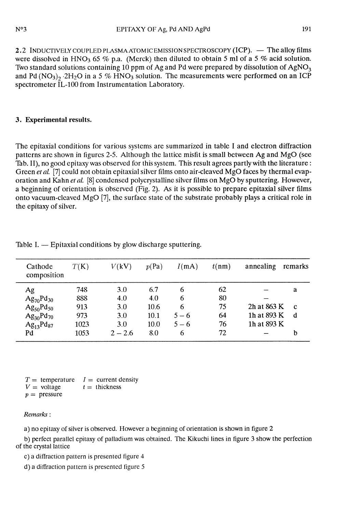2.2 INDUCTIVELY COUPLED PLASMA ATOMIC EMISSION SPECTROSCOPY (ICP). — The alloy films were dissolved in HNO<sub>3</sub> 65 % p.a. (Merck) then diluted to obtain 5 ml of a 5 % acid solution. Two standard solutions containing 10 ppm of Ag and Pd were prepared by dissolution of  $AgNO<sub>3</sub>$ and Pd (NO<sub>3</sub>)<sub>2</sub> 2H<sub>2</sub>O in a 5 % HNO<sub>3</sub> solution. The measurements were performed on an ICP spectrometer IL-100 from Instrumentation Laboratory.

# 3. Experimental results.

The epitaxial conditions for various systems are summarized in table 1 and electron diffraction patterns arc shown in figures 2-5. Although the lattice misfit is small between Ag and MgO (see Tab. II), no good epitaxy was observed for this system. This result agrees partly with the literature : Green et al. [7] could not obtain epitaxial silver films onto air-cleaved MgO faces by thermal evaporation and Kahn *et al.* [8] condensed polycrystalline silver films on MgO by sputtering. However, a beginning of orientation is observed (Fig. 2). As it is possible to prepare epitaxial silver films onto vacuum-cleaved MgO [7], the surface state of the substrate probably plays a critical role in the epitaxy of silver.

| Cathode<br>composition         | T(K) | V(kV)     | p(Pa) | I(mA)   | t(nm) | annealing   | remarks     |
|--------------------------------|------|-----------|-------|---------|-------|-------------|-------------|
| Ag                             | 748  | 3.0       | 6.7   | 6       | 62    |             | a           |
| $Ag_{70}Pd_{30}$               | 888  | 4.0       | 4.0   | 6       | 80    |             |             |
| $\text{Ag}_{50}\text{Pd}_{50}$ | 913  | 3.0       | 10.6  | 6       | 75    | 2h at 863 K | $\mathbf c$ |
| $Ag_{30}Pd_{70}$               | 973  | 3.0       | 10.1  | $5 - 6$ | 64    | 1h at 893 K | d           |
| $Ag_{13}Pd_{87}$               | 1023 | 3.0       | 10.0  | $5 - 6$ | 76    | 1h at 893 K |             |
| Pd                             | 1053 | $2 - 2.6$ | 8.0   | 6       | 72    |             | b           |

Table I. — Epitaxial conditions by glow discharge sputtering.

 $T =$  temperature  $I =$  current density<br> $V =$  voltage  $t =$  thickness  $t =$  thickness  $p =$  pressure

### Remarks:

a) no epitaxy of silver is observed. However a beginning of orientation is shown in figure 2

b) perfect parallel epitaxy of palladium was obtained. The Kikuchi lines in figure 3 show the perfection of the crystal lattice

c) a diffraction pattern is presented figure 4

 $d$ ) a diffraction pattern is presented figure  $5$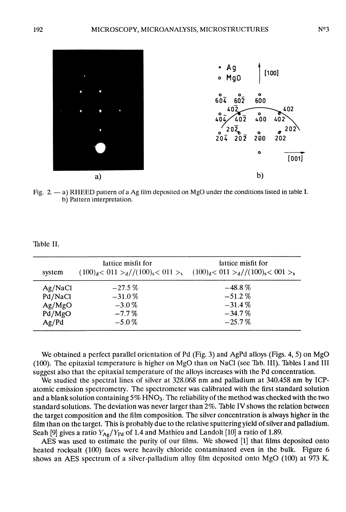

Fig. 2. - a) RHEED pattern of a Ag film deposited on MgO under the conditions listed in table I. b) Pattern interpretation.

Table II.

| system  | lattice misfit for<br>$(100)d < 011 >d$ //(100) <sub>s</sub> $< 011 >s$ $(100)d < 011 >d$ //(100) <sub>s</sub> $< 001 >s$ | lattice misfit for |
|---------|---------------------------------------------------------------------------------------------------------------------------|--------------------|
| Ag/NaCl | $-27.5\%$                                                                                                                 | $-48.8\%$          |
| Pd/NaCl | $-31.0\%$                                                                                                                 | $-51.2%$           |
| Ag/MgO  | $-3.0\%$                                                                                                                  | $-31.4\%$          |
| Pd/MgO  | $-7.7\%$                                                                                                                  | $-34.7\%$          |
| Ag/Pd   | $-5.0\%$                                                                                                                  | $-25.7\%$          |

We obtained a perfect parallel orientation of Pd (Fig. 3) and AgPd alloys (Figs. 4, 5) on MgO (100). The epitaxial température is higher on MgO than on NaCl (see Tab. III). Tables 1 and III suggest also that the epitaxial temperature of the alloys increases with the Pd concentration.

We studied the spectral lines of silver at 328.068 nm and palladium at 340.458 nm by ICPatomic emission spectrometry. The spectrometer was calibrated with the first standard solution and a blank solution containing  $5\%$  HNO<sub>3</sub>. The reliability of the method was checked with the two standard solutions. The deviation was never larger than 2%. Table IV shows the relation between the target composition and the film composition. The silver concentration is always higher in the film than on the target. This is probably due to the relative sputtering yield of silver and palladium. Seah [9] gives a ratio  $Y_{Ag}/Y_{Pd}$  of 1.4 and Mathieu and Landolt [10] a ratio of 1.89.

AES was used to estimate the purity of our films. We showed [1] that films deposited onto heated rocksalt (100) faces were heavily chloride contaminated even in the bulk. Figure 6 shows an AES spectrum of a silver-palladium alloy film deposited onto MgO (100) at 973 K.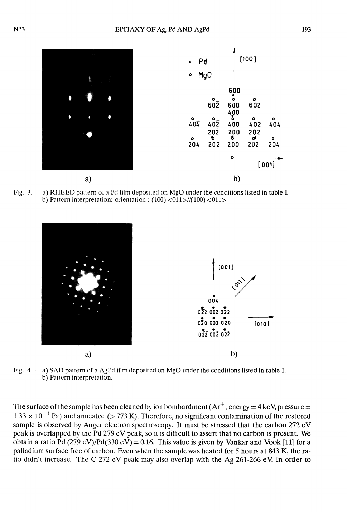

Fig. 3. - a) RIIEED pattern of a Pd film deposited on MgO under the conditions listed in table I. b) Pattern interpretation: orientation :  $(100) < 011$  >//(100)  $< 011$  >



Fig.  $4. - a$ ) SAD pattern of a AgPd film deposited on MgO under the conditions listed in table I. b) Pattern interpretation.

The surface of the sample has been cleaned by ion bombardment  $(Ar^+,$  energy = 4 keV, pressure =  $1.33 \times 10^{-4}$  Pa) and annealed (> 773 K). Therefore, no significant contamination of the restored sample is observed by Auger electron spectroscopy. It must be stressed that the carbon 272 eV peak is overlapped by the Pd 279 eV peak, so it is difficult to assert that no carbon is present. We obtain a ratio Pd (279 eV)/Pd(330 eV) = 0.16. This value is given by Vankar and Vook [11] for a palladium surface frec of carbon. Even when the sample was heated for 5 hours at 843 K, the ratio didn't increase. The C 272 eV peak may also overlap with the Ag 261-266 eV In order to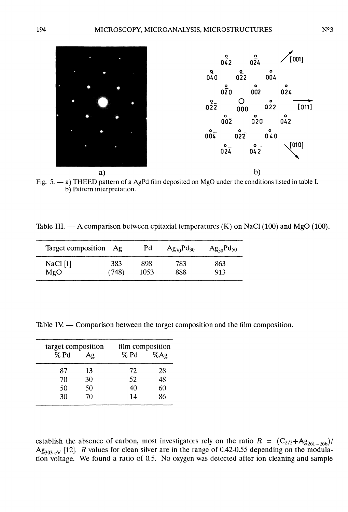

b) Pattern interpretation.

Table III.  $- A$  comparison between epitaxial temperatures (K) on NaCl (100) and MgO (100).

| Target composition Ag |       | Pd   | $Ag_{70}Pd_{30}$ | $Ag_{50}Pd_{50}$ |
|-----------------------|-------|------|------------------|------------------|
| NaCl [1]              | 383   | 898  | 783              | 863              |
| MgO                   | (748) | 1053 | 888              | 913              |

Table IV. — Comparison between the target composition and the film composition.

| target composition<br>% Pd | Ag | film composition<br>% Pd | $%$ Ag |
|----------------------------|----|--------------------------|--------|
| 87                         | 13 | 72                       | 28     |
| 70                         | 30 | 52                       | 48     |
| 50                         | 50 | 40                       | 60     |
| 30                         | 70 | 14                       | 86     |

establish the absence of carbon, most investigators rely on the ratio  $R = (C_{272}+Ag_{261-266})/$  $Ag_{303 \text{ eV}}$  [12]. R values for clean silver are in the range of 0.42-0.55 depending on the modulation voltage. We found a ratio of 0.5. No oxygen was detected after ion cleaning and sample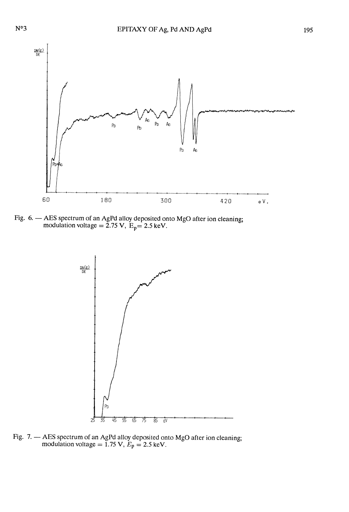

Fig. 6. -- AES spectrum of an AgPd alloy deposited onto MgO after ion cleaning; modulation voltage =  $2.75$  V,  $E_p$ =  $2.5$  keV.



Fig. 7. -- AES spectrum of an AgPd alloy deposited onto MgO after ion cleaning; modulation voltage = 1.75 V,  $E_p$  = 2.5 keV.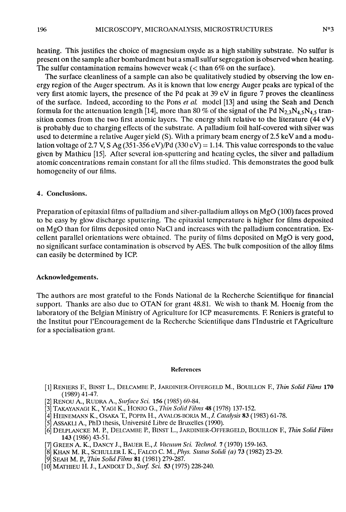heating. This justifies the choice of magnesium oxyde as a high stability substrate. No sulfur is present on the sample after bombardment but a small sulfur segregation is observed when heating. The sulfur contamination remains however weak  $\zeta$  than 6% on the surface).

The surface cleanliness of a sample can also be qualitatively studied by observing the low energy region of the Auger spectrum. As it is known that low energy Auger peaks are typical of the very first atomic layers, the presence of the Pd peak at 39 eV in figure 7 proves the cleanliness of the surface. Indeed, according to the Pons et al. model [13] and using the Seah and Dench formula for the attenuation length [14], more than 80 % of the signal of the Pd N<sub>2</sub> 3N<sub>4</sub> 5N<sub>4</sub> 5 transition comes from the two first atomic layers. The energy shift relative to the literature  $(44 \text{ eV})$ is probably due to charging effects of the substrate. A palladium foil half-covered with silver was used to determine a relative Auger yield (S). With a primary beam energy of 2.5 keV and a modulation voltage of 2.7 V, S Ag (351-356 eV)/Pd (330 eV) = 1.14. This value corresponds to the value given by Mathieu [15]. After sevcral ion-sputtcring and heating cycles, the silver and palladium atomic concentrations remain constant for all the films studied. This demonstrates the good bulk homogeneity of our films.

#### 4. Conclusions.

Preparation of epitaxial films of palladium and silver-palladium alloys on MgO (100) faces proved<br>to be easy by glow discharge sputtering. The epitaxial temperature is higher for films deposited on MgO than for films deposited onto NaCl and increases with the palladium concentration. Excellent parallel orientations were obtained. The purity of films deposited on MgO is very good, no significant surface contamination is observed by AES. The bulk composition of the alloy films can easily be determined by ICP.

#### Acknowledgements.

The authors are most grateful to the Fonds National de la Recherche Scientifique for financial support. Thanks are also due to OTAN for grant 48.81. We wish to thank M. Hoenig from the laboratory of the Belgian Ministry of Agriculture for ICP measurements. E Reniers is grateful to the Institut pour l'Encouragement de la Recherche Scientifique dans l'Industrie et l'Agriculture for a specialisation grant.

#### References

- [1] RENIERS F., BINST L., DELCAMBE P., JARDINIER-OFFERGELD M., BOUILLON F., Thin Solid Films 170 (1989) 41-47.
- [2] RENOU A., RUDRA A., Surface Sci. 156 (1985) 69-84.
- [3] TAKAYANAGI K., YAGI K., HONJO G., *Thin Solid Films* 48 (1978) 137-152.
- [4] HEINEMANN K., OSAKA T., POPPA H., AVALOS-BORJA M., J. Catalysis 83 (1983) 61-78.
- [5] ASSAKLI A., PhD thesis, Université Libre de Bruxelles (1990).
- [6] DELPLANCKE M. P., DELCAMBE P., BINST L., JARDINIER-OFFERGELD, BOUILLON F., Thin Solid Films 143 (1986) 43-51.
- [7] GREEN A. K., DANCY J., BAUER E., J. Vacuum Sci. Technol. 7 (1970) 159-163.
- [8] KHAN M. R., SCHULLER I. K., FALCO C. M., Phys. Status Solidi (a) 73 (1982) 23-29.
- [9] SEAH M. P., Thin Solid Films 81 (1981) 279-287.
- [10] MATHIEU H. J., LANDOLT D., Surf. Sci. 53 (1975) 228-240.